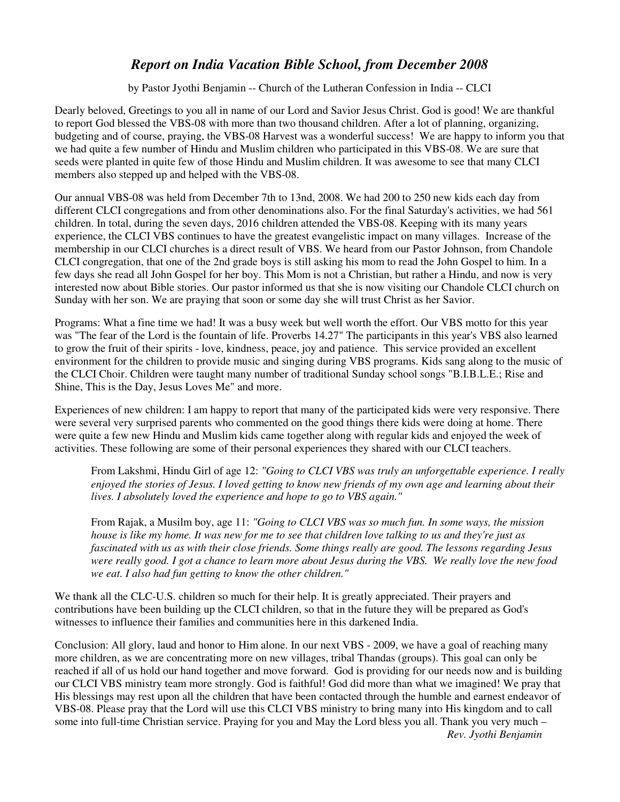## *Report on India Vacation Bible School, from December 2008*

by Pastor Jyothi Benjamin -- Church of the Lutheran Confession in India -- CLCI

Dearly beloved, Greetings to you all in name of our Lord and Savior Jesus Christ. God is good! We are thankful to report God blessed the VBS-08 with more than two thousand children. After a lot of planning, organizing, budgeting and of course, praying, the VBS-08 Harvest was a wonderful success! We are happy to inform you that we had quite a few number of Hindu and Muslim children who participated in this VBS-08. We are sure that seeds were planted in quite few of those Hindu and Muslim children. It was awesome to see that many CLCI members also stepped up and helped with the VBS-08.

Our annual VBS-08 was held from December 7th to 13nd, 2008. We had 200 to 250 new kids each day from different CLCI congregations and from other denominations also. For the final Saturday's activities, we had 561 children. In total, during the seven days, 2016 children attended the VBS-08. Keeping with its many years experience, the CLCI VBS continues to have the greatest evangelistic impact on many villages. Increase of the membership in our CLCI churches is a direct result of VBS. We heard from our Pastor Johnson, from Chandole CLCI congregation, that one of the 2nd grade boys is still asking his mom to read the John Gospel to him. In a few days she read all John Gospel for her boy. This Mom is not a Christian, but rather a Hindu, and now is very interested now about Bible stories. Our pastor informed us that she is now visiting our Chandole CLCI church on Sunday with her son. We are praying that soon or some day she will trust Christ as her Savior.

Programs: What a fine time we had! It was a busy week but well worth the effort. Our VBS motto for this year was "The fear of the Lord is the fountain of life. Proverbs 14.27" The participants in this year's VBS also learned to grow the fruit of their spirits - love, kindness, peace, joy and patience. This service provided an excellent environment for the children to provide music and singing during VBS programs. Kids sang along to the music of the CLCI Choir. Children were taught many number of traditional Sunday school songs "B.I.B.L.E.; Rise and Shine, This is the Day, Jesus Loves Me" and more.

Experiences of new children: I am happy to report that many of the participated kids were very responsive. There were several very surprised parents who commented on the good things there kids were doing at home. There were quite a few new Hindu and Muslim kids came together along with regular kids and enjoyed the week of activities. These following are some of their personal experiences they shared with our CLCI teachers.

From Lakshmi, Hindu Girl of age 12: *"Going to CLCI VBS was truly an unforgettable experience. I really enjoyed the stories of Jesus. I loved getting to know new friends of my own age and learning about their lives. I absolutely loved the experience and hope to go to VBS again."* 

From Rajak, a Musilm boy, age 11: *"Going to CLCI VBS was so much fun. In some ways, the mission house is like my home. It was new for me to see that children love talking to us and they're just as fascinated with us as with their close friends. Some things really are good. The lessons regarding Jesus were really good. I got a chance to learn more about Jesus during the VBS. We really love the new food we eat. I also had fun getting to know the other children."*

We thank all the CLC-U.S. children so much for their help. It is greatly appreciated. Their prayers and contributions have been building up the CLCI children, so that in the future they will be prepared as God's witnesses to influence their families and communities here in this darkened India.

Conclusion: All glory, laud and honor to Him alone. In our next VBS - 2009, we have a goal of reaching many more children, as we are concentrating more on new villages, tribal Thandas (groups). This goal can only be reached if all of us hold our hand together and move forward. God is providing for our needs now and is building our CLCI VBS ministry team more strongly. God is faithful! God did more than what we imagined! We pray that His blessings may rest upon all the children that have been contacted through the humble and earnest endeavor of VBS-08. Please pray that the Lord will use this CLCI VBS ministry to bring many into His kingdom and to call some into full-time Christian service. Praying for you and May the Lord bless you all. Thank you very much –

*Rev. Jyothi Benjamin*